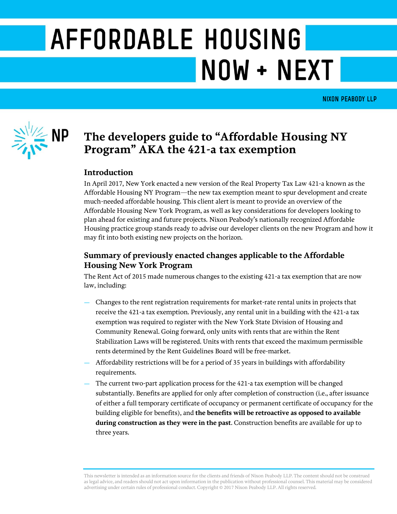# AFFORDABLE HOUSING NOW + NEXT

**NIXON PEABODY LLP** 



## **The developers guide to "Affordable Housing NY Program" AKA the 421-a tax exemption**

## **Introduction**

In April 2017, New York enacted a new version of the Real Property Tax Law 421-a known as the Affordable Housing NY Program—the new tax exemption meant to spur development and create much-needed affordable housing. This client alert is meant to provide an overview of the Affordable Housing New York Program, as well as key considerations for developers looking to plan ahead for existing and future projects. Nixon Peabody's nationally recognized Affordable Housing practice group stands ready to advise our developer clients on the new Program and how it may fit into both existing new projects on the horizon.

## **Summary of previously enacted changes applicable to the Affordable Housing New York Program**

The Rent Act of 2015 made numerous changes to the existing 421-a tax exemption that are now law, including:

- Changes to the rent registration requirements for market-rate rental units in projects that receive the 421-a tax exemption. Previously, any rental unit in a building with the 421-a tax exemption was required to register with the New York State Division of Housing and Community Renewal. Going forward, only units with rents that are within the Rent Stabilization Laws will be registered. Units with rents that exceed the maximum permissible rents determined by the Rent Guidelines Board will be free-market.
- Affordability restrictions will be for a period of 35 years in buildings with affordability requirements.
- The current two-part application process for the 421-a tax exemption will be changed substantially. Benefits are applied for only after completion of construction (i.e., after issuance of either a full temporary certificate of occupancy or permanent certificate of occupancy for the building eligible for benefits), and **the benefits will be retroactive as opposed to available during construction as they were in the past**. Construction benefits are available for up to three years.

This newsletter is intended as an information source for the clients and friends of Nixon Peabody LLP. The content should not be construed as legal advice, and readers should not act upon information in the publication without professional counsel. This material may be considered advertising under certain rules of professional conduct. Copyright © 2017 Nixon Peabody LLP. All rights reserved.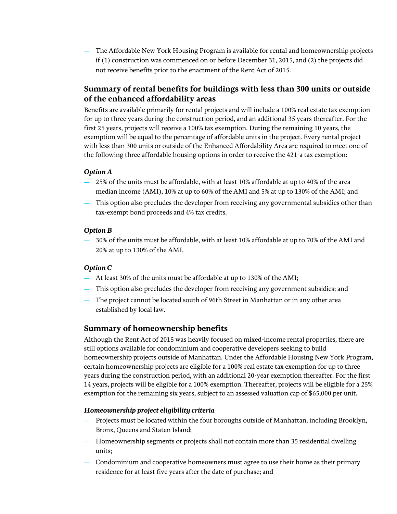— The Affordable New York Housing Program is available for rental and homeownership projects if (1) construction was commenced on or before December 31, 2015, and (2) the projects did not receive benefits prior to the enactment of the Rent Act of 2015.

## **Summary of rental benefits for buildings with less than 300 units or outside of the enhanced affordability areas**

Benefits are available primarily for rental projects and will include a 100% real estate tax exemption for up to three years during the construction period, and an additional 35 years thereafter. For the first 25 years, projects will receive a 100% tax exemption. During the remaining 10 years, the exemption will be equal to the percentage of affordable units in the project. Every rental project with less than 300 units or outside of the Enhanced Affordability Area are required to meet one of the following three affordable housing options in order to receive the 421-a tax exemption:

### *Option A*

- 25% of the units must be affordable, with at least 10% affordable at up to 40% of the area median income (AMI), 10% at up to 60% of the AMI and 5% at up to 130% of the AMI; and
- This option also precludes the developer from receiving any governmental subsidies other than tax-exempt bond proceeds and 4% tax credits.

## *Option B*

— 30% of the units must be affordable, with at least 10% affordable at up to 70% of the AMI and 20% at up to 130% of the AMI.

## *Option C*

- At least 30% of the units must be affordable at up to 130% of the AMI;
- This option also precludes the developer from receiving any government subsidies; and
- The project cannot be located south of 96th Street in Manhattan or in any other area established by local law.

## **Summary of homeownership benefits**

Although the Rent Act of 2015 was heavily focused on mixed-income rental properties, there are still options available for condominium and cooperative developers seeking to build homeownership projects outside of Manhattan. Under the Affordable Housing New York Program, certain homeownership projects are eligible for a 100% real estate tax exemption for up to three years during the construction period, with an additional 20-year exemption thereafter. For the first 14 years, projects will be eligible for a 100% exemption. Thereafter, projects will be eligible for a 25% exemption for the remaining six years, subject to an assessed valuation cap of \$65,000 per unit.

## *Homeownership project eligibility criteria*

- Projects must be located within the four boroughs outside of Manhattan, including Brooklyn, Bronx, Queens and Staten Island;
- Homeownership segments or projects shall not contain more than 35 residential dwelling units;
- Condominium and cooperative homeowners must agree to use their home as their primary residence for at least five years after the date of purchase; and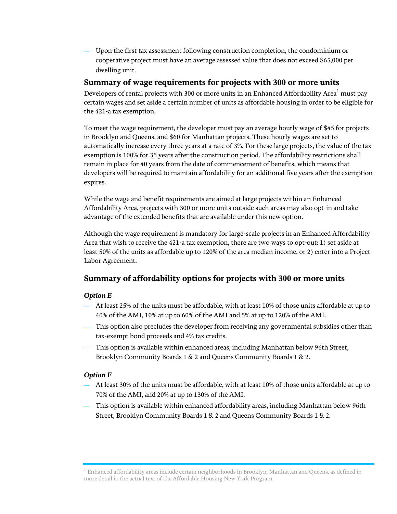— Upon the first tax assessment following construction completion, the condominium or cooperative project must have an average assessed value that does not exceed \$65,000 per dwelling unit.

## **Summary of wage requirements for projects with 300 or more units**

Developers of rental projects with 300 or more units in an Enhanced Affordability Area<sup>1</sup> must pay certain wages and set aside a certain number of units as affordable housing in order to be eligible for the 421-a tax exemption.

To meet the wage requirement, the developer must pay an average hourly wage of \$45 for projects in Brooklyn and Queens, and \$60 for Manhattan projects. These hourly wages are set to automatically increase every three years at a rate of 3%. For these large projects, the value of the tax exemption is 100% for 35 years after the construction period. The affordability restrictions shall remain in place for 40 years from the date of commencement of benefits, which means that developers will be required to maintain affordability for an additional five years after the exemption expires.

While the wage and benefit requirements are aimed at large projects within an Enhanced Affordability Area, projects with 300 or more units outside such areas may also opt-in and take advantage of the extended benefits that are available under this new option.

Although the wage requirement is mandatory for large-scale projects in an Enhanced Affordability Area that wish to receive the 421-a tax exemption, there are two ways to opt-out: 1) set aside at least 50% of the units as affordable up to 120% of the area median income, or 2) enter into a Project Labor Agreement.

## **Summary of affordability options for projects with 300 or more units**

## *Option E*

- At least 25% of the units must be affordable, with at least 10% of those units affordable at up to 40% of the AMI, 10% at up to 60% of the AMI and 5% at up to 120% of the AMI.
- This option also precludes the developer from receiving any governmental subsidies other than tax-exempt bond proceeds and 4% tax credits.
- This option is available within enhanced areas, including Manhattan below 96th Street, Brooklyn Community Boards 1 & 2 and Queens Community Boards 1 & 2.

## *Option F*

- At least 30% of the units must be affordable, with at least 10% of those units affordable at up to 70% of the AMI, and 20% at up to 130% of the AMI.
- This option is available within enhanced affordability areas, including Manhattan below 96th Street, Brooklyn Community Boards 1 & 2 and Queens Community Boards 1 & 2.

 $^{\rm 1}$  Enhanced affordability areas include certain neighborhoods in Brooklyn, Manhattan and Queens, as defined in more detail in the actual text of the Affordable Housing New York Program.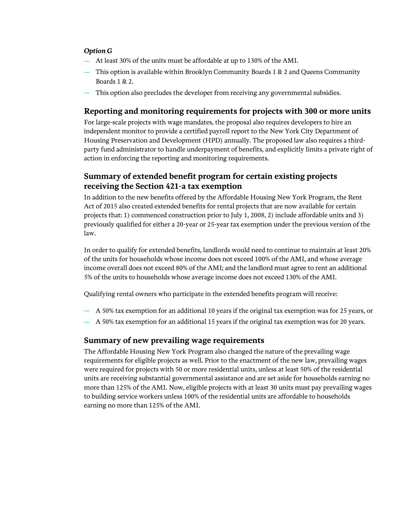### *Option G*

- At least 30% of the units must be affordable at up to 130% of the AMI.
- This option is available within Brooklyn Community Boards  $1 \& 2$  and Queens Community Boards 1 & 2.
- This option also precludes the developer from receiving any governmental subsidies.

## **Reporting and monitoring requirements for projects with 300 or more units**

For large-scale projects with wage mandates, the proposal also requires developers to hire an independent monitor to provide a certified payroll report to the New York City Department of Housing Preservation and Development (HPD) annually. The proposed law also requires a thirdparty fund administrator to handle underpayment of benefits, and explicitly limits a private right of action in enforcing the reporting and monitoring requirements.

## **Summary of extended benefit program for certain existing projects receiving the Section 421-a tax exemption**

In addition to the new benefits offered by the Affordable Housing New York Program, the Rent Act of 2015 also created extended benefits for rental projects that are now available for certain projects that: 1) commenced construction prior to July 1, 2008, 2) include affordable units and 3) previously qualified for either a 20-year or 25-year tax exemption under the previous version of the law.

In order to qualify for extended benefits, landlords would need to continue to maintain at least 20% of the units for households whose income does not exceed 100% of the AMI, and whose average income overall does not exceed 80% of the AMI; and the landlord must agree to rent an additional 5% of the units to households whose average income does not exceed 130% of the AMI.

Qualifying rental owners who participate in the extended benefits program will receive:

- A 50% tax exemption for an additional 10 years if the original tax exemption was for 25 years, or
- A 50% tax exemption for an additional 15 years if the original tax exemption was for 20 years.

## **Summary of new prevailing wage requirements**

The Affordable Housing New York Program also changed the nature of the prevailing wage requirements for eligible projects as well. Prior to the enactment of the new law, prevailing wages were required for projects with 50 or more residential units, unless at least 50% of the residential units are receiving substantial governmental assistance and are set aside for households earning no more than 125% of the AMI. Now, eligible projects with at least 30 units must pay prevailing wages to building service workers unless 100% of the residential units are affordable to households earning no more than 125% of the AMI.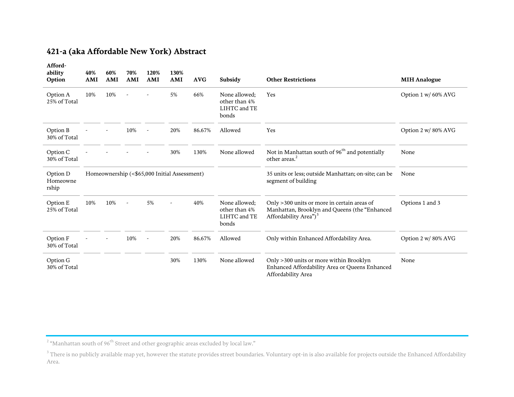## **421-a (aka Affordable New York) Abstract**

| Afford-<br>ability<br>Option  | 40%<br>AMI                                   | 60%<br>AMI | 70%<br>AMI | 120%<br>AMI | 130%<br>AMI | <b>AVG</b> | Subsidy                                                 | <b>Other Restrictions</b>                                                                                                         | <b>MIH Analogue</b> |
|-------------------------------|----------------------------------------------|------------|------------|-------------|-------------|------------|---------------------------------------------------------|-----------------------------------------------------------------------------------------------------------------------------------|---------------------|
| Option A<br>25% of Total      | 10%                                          | 10%        |            |             | 5%          | 66%        | None allowed;<br>other than 4%<br>LIHTC and TE<br>bonds | Yes                                                                                                                               | Option 1 w/ 60% AVG |
| Option B<br>30% of Total      |                                              |            | 10%        |             | 20%         | 86.67%     | Allowed                                                 | Yes                                                                                                                               | Option 2 w/80% AVG  |
| Option C<br>30% of Total      |                                              |            |            |             | 30%         | 130%       | None allowed                                            | Not in Manhattan south of 96 <sup>th</sup> and potentially<br>other areas. <sup>2</sup>                                           | None                |
| Option D<br>Homeowne<br>rship | Homeownership (<\$65,000 Initial Assessment) |            |            |             |             |            |                                                         | 35 units or less; outside Manhattan; on-site; can be<br>segment of building                                                       | None                |
| Option E<br>25% of Total      | 10%                                          | 10%        |            | 5%          |             | 40%        | None allowed:<br>other than 4%<br>LIHTC and TE<br>bonds | Only >300 units or more in certain areas of<br>Manhattan, Brooklyn and Queens (the "Enhanced<br>Affordability Area") <sup>3</sup> | Options 1 and 3     |
| Option F<br>30% of Total      |                                              |            | 10%        |             | 20%         | 86.67%     | Allowed                                                 | Only within Enhanced Affordability Area.                                                                                          | Option 2 w/80% AVG  |
| Option G<br>30% of Total      |                                              |            |            |             | 30%         | 130%       | None allowed                                            | Only >300 units or more within Brooklyn<br>Enhanced Affordability Area or Queens Enhanced<br>Affordability Area                   | None                |

 $^{\rm 2}$  "Manhattan south of 96 $^{\rm th}$  Street and other geographic areas excluded by local law."

 $^3$  There is no publicly available map yet, however the statute provides street boundaries. Voluntary opt-in is also available for projects outside the Enhanced Affordability Area.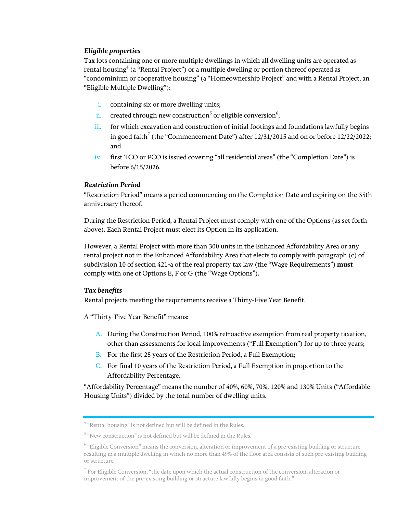## *Eligible properties*

Tax lots containing one or more multiple dwellings in which all dwelling units are operated as rental housing $^4$  (a "Rental Project") or a multiple dwelling or portion thereof operated as "condominium or cooperative housing" (a "Homeownership Project" and with a Rental Project, an "Eligible Multiple Dwelling"):

- i. containing six or more dwelling units;
- ii. created through new construction<sup>5</sup> or eligible conversion<sup>6</sup>;
- iii. for which excavation and construction of initial footings and foundations lawfully begins in good faith<sup>7</sup> (the "Commencement Date") after  $12/31/2015$  and on or before  $12/22/2022$ ; and
- iv. first TCO or PCO is issued covering "all residential areas" (the "Completion Date") is before 6/15/2026.

### *Restriction Period*

"Restriction Period" means a period commencing on the Completion Date and expiring on the 35th anniversary thereof.

During the Restriction Period, a Rental Project must comply with one of the Options (as set forth above). Each Rental Project must elect its Option in its application.

However, a Rental Project with more than 300 units in the Enhanced Affordability Area or any rental project not in the Enhanced Affordability Area that elects to comply with paragraph (c) of subdivision 10 of section 421-a of the real property tax law (the "Wage Requirements") **must** comply with one of Options E, F or G (the "Wage Options").

## *Tax benefits*

Rental projects meeting the requirements receive a Thirty-Five Year Benefit.

A "Thirty-Five Year Benefit" means:

- A. During the Construction Period, 100% retroactive exemption from real property taxation, other than assessments for local improvements ("Full Exemption") for up to three years;
- B. For the first 25 years of the Restriction Period, a Full Exemption;
- C. For final 10 years of the Restriction Period, a Full Exemption in proportion to the Affordability Percentage.

"Affordability Percentage" means the number of 40%, 60%, 70%, 120% and 130% Units ("Affordable Housing Units") divided by the total number of dwelling units.

<sup>&</sup>lt;sup>4</sup> "Rental housing" is not defined but will be defined in the Rules.

 $5$  "New construction" is not defined but will be defined in the Rules.

 $^6$  "Eligible Conversion" means the conversion, alteration or improvement of a pre-existing building or structure resulting in a multiple dwelling in which no more than 49% of the floor area consists of such pre-existing building or structure.

 $^7$  For Eligible Conversion, "the date upon which the actual construction of the conversion, alteration or improvement of the pre-existing building or structure lawfully begins in good faith."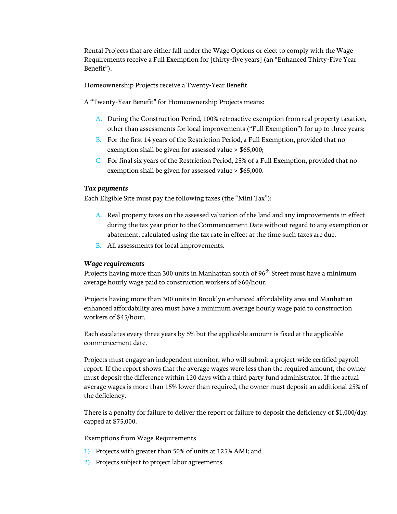Rental Projects that are either fall under the Wage Options or elect to comply with the Wage Requirements receive a Full Exemption for [thirty-five years] (an "Enhanced Thirty-Five Year Benefit").

Homeownership Projects receive a Twenty-Year Benefit.

A "Twenty-Year Benefit" for Homeownership Projects means:

- A. During the Construction Period, 100% retroactive exemption from real property taxation, other than assessments for local improvements ("Full Exemption") for up to three years;
- B. For the first 14 years of the Restriction Period, a Full Exemption, provided that no exemption shall be given for assessed value > \$65,000;
- C. For final six years of the Restriction Period, 25% of a Full Exemption, provided that no exemption shall be given for assessed value > \$65,000.

#### *Tax payments*

Each Eligible Site must pay the following taxes (the "Mini Tax"):

- A. Real property taxes on the assessed valuation of the land and any improvements in effect during the tax year prior to the Commencement Date without regard to any exemption or abatement, calculated using the tax rate in effect at the time such taxes are due.
- B. All assessments for local improvements.

#### *Wage requirements*

Projects having more than 300 units in Manhattan south of 96<sup>th</sup> Street must have a minimum average hourly wage paid to construction workers of \$60/hour.

Projects having more than 300 units in Brooklyn enhanced affordability area and Manhattan enhanced affordability area must have a minimum average hourly wage paid to construction workers of \$45/hour.

Each escalates every three years by 5% but the applicable amount is fixed at the applicable commencement date.

Projects must engage an independent monitor, who will submit a project-wide certified payroll report. If the report shows that the average wages were less than the required amount, the owner must deposit the difference within 120 days with a third party fund administrator. If the actual average wages is more than 15% lower than required, the owner must deposit an additional 25% of the deficiency.

There is a penalty for failure to deliver the report or failure to deposit the deficiency of \$1,000/day capped at \$75,000.

#### Exemptions from Wage Requirements

- 1) Projects with greater than 50% of units at 125% AMI; and
- 2) Projects subject to project labor agreements.